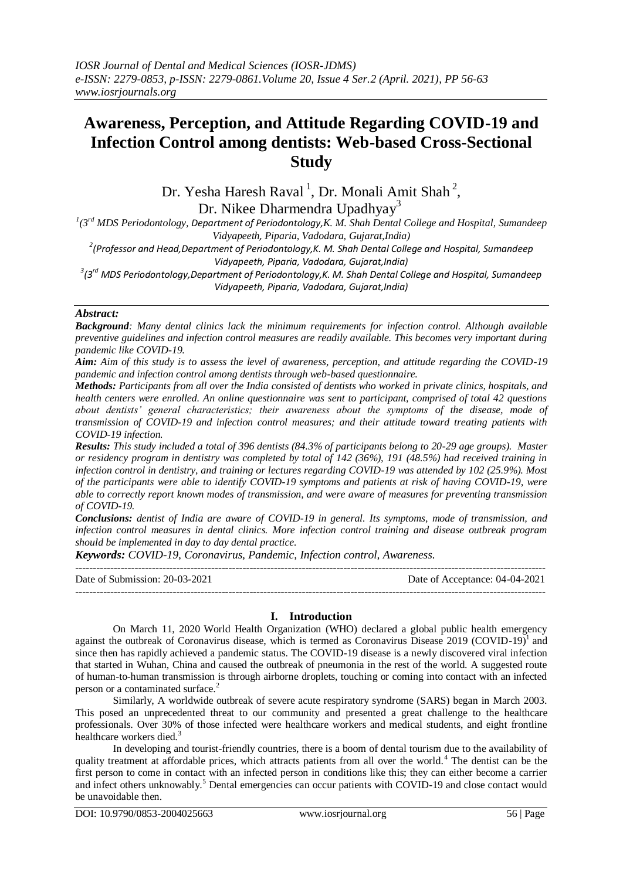# **Awareness, Perception, and Attitude Regarding COVID-19 and Infection Control among dentists: Web-based Cross-Sectional Study**

Dr. Yesha Haresh Raval<sup>1</sup>, Dr. Monali Amit Shah<sup>2</sup>,

Dr. Nikee Dharmendra Upadhyay<sup>3</sup>

*1 (3 rd MDS Periodontology, Department of Periodontology,K. M. Shah Dental College and Hospital, Sumandeep Vidyapeeth, Piparia, Vadodara, Gujarat,India)*

*2 (Professor and Head,Department of Periodontology,K. M. Shah Dental College and Hospital, Sumandeep Vidyapeeth, Piparia, Vadodara, Gujarat,India)*

*3 (3 rd MDS Periodontology,Department of Periodontology,K. M. Shah Dental College and Hospital, Sumandeep Vidyapeeth, Piparia, Vadodara, Gujarat,India)*

## *Abstract:*

*Background: Many dental clinics lack the minimum requirements for infection control. Although available preventive guidelines and infection control measures are readily available. This becomes very important during pandemic like COVID-19.*

*Aim: Aim of this study is to assess the level of awareness, perception, and attitude regarding the COVID-19 pandemic and infection control among dentists through web-based questionnaire.*

*Methods: Participants from all over the India consisted of dentists who worked in private clinics, hospitals, and health centers were enrolled. An online questionnaire was sent to participant, comprised of total 42 questions about dentists' general characteristics; their awareness about the symptoms of the disease, mode of transmission of COVID-19 and infection control measures; and their attitude toward treating patients with COVID-19 infection.*

*Results: This study included a total of 396 dentists (84.3% of participants belong to 20-29 age groups). Master or residency program in dentistry was completed by total of 142 (36%), 191 (48.5%) had received training in infection control in dentistry, and training or lectures regarding COVID-19 was attended by 102 (25.9%). Most of the participants were able to identify COVID-19 symptoms and patients at risk of having COVID-19, were able to correctly report known modes of transmission, and were aware of measures for preventing transmission of COVID-19.* 

*Conclusions: dentist of India are aware of COVID-19 in general. Its symptoms, mode of transmission, and infection control measures in dental clinics. More infection control training and disease outbreak program should be implemented in day to day dental practice.* 

*Keywords: COVID-19, Coronavirus, Pandemic, Infection control, Awareness.*

---------------------------------------------------------------------------------------------------------------------------------------

Date of Submission: 20-03-2021 Date of Acceptance: 04-04-2021 ---------------------------------------------------------------------------------------------------------------------------------------

## **I. Introduction**

On March 11, 2020 World Health Organization (WHO) declared a global public health emergency against the outbreak of Coronavirus disease, which is termed as Coronavirus Disease  $2019$  (COVID-19)<sup>1</sup> and since then has rapidly achieved a pandemic status. The COVID-19 disease is a newly discovered viral infection that started in Wuhan, China and caused the outbreak of pneumonia in the rest of the world. A suggested route of human-to-human transmission is through airborne droplets, touching or coming into contact with an infected person or a contaminated surface.<sup>2</sup>

Similarly, A worldwide outbreak of severe acute respiratory syndrome (SARS) began in March 2003. This posed an unprecedented threat to our community and presented a great challenge to the healthcare professionals. Over 30% of those infected were healthcare workers and medical students, and eight frontline healthcare workers died.<sup>3</sup>

In developing and tourist-friendly countries, there is a boom of dental tourism due to the availability of quality treatment at affordable prices, which attracts patients from all over the world.<sup>4</sup> The dentist can be the first person to come in contact with an infected person in conditions like this; they can either become a carrier and infect others unknowably.<sup>5</sup> Dental emergencies can occur patients with COVID-19 and close contact would be unavoidable then.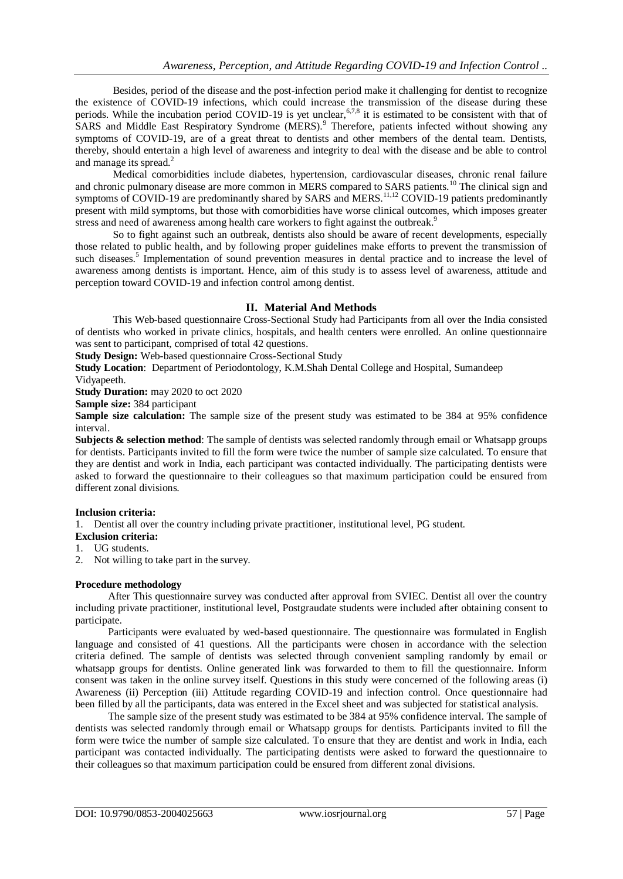Besides, period of the disease and the post-infection period make it challenging for dentist to recognize the existence of COVID-19 infections, which could increase the transmission of the disease during these periods. While the incubation period COVID-19 is yet unclear,  $6.78$  it is estimated to be consistent with that of SARS and Middle East Respiratory Syndrome (MERS).<sup>9</sup> Therefore, patients infected without showing any symptoms of COVID-19, are of a great threat to dentists and other members of the dental team. Dentists, thereby, should entertain a high level of awareness and integrity to deal with the disease and be able to control and manage its spread.<sup>2</sup>

Medical comorbidities include diabetes, hypertension, cardiovascular diseases, chronic renal failure and chronic pulmonary disease are more common in MERS compared to SARS patients.<sup>10</sup> The clinical sign and symptoms of COVID-19 are predominantly shared by SARS and MERS.<sup>11,12</sup> COVID-19 patients predominantly present with mild symptoms, but those with comorbidities have worse clinical outcomes, which imposes greater stress and need of awareness among health care workers to fight against the outbreak.<sup>9</sup>

So to fight against such an outbreak, dentists also should be aware of recent developments, especially those related to public health, and by following proper guidelines make efforts to prevent the transmission of such diseases.<sup>5</sup> Implementation of sound prevention measures in dental practice and to increase the level of awareness among dentists is important. Hence, aim of this study is to assess level of awareness, attitude and perception toward COVID-19 and infection control among dentist.

## **II. Material And Methods**

This Web-based questionnaire Cross-Sectional Study had Participants from all over the India consisted of dentists who worked in private clinics, hospitals, and health centers were enrolled. An online questionnaire was sent to participant, comprised of total 42 questions.

**Study Design:** Web-based questionnaire Cross-Sectional Study

**Study Location**: Department of Periodontology, K.M.Shah Dental College and Hospital, Sumandeep

## Vidyapeeth.

**Study Duration:** may 2020 to oct 2020

**Sample size:** 384 participant

**Sample size calculation:** The sample size of the present study was estimated to be 384 at 95% confidence interval.

**Subjects & selection method**: The sample of dentists was selected randomly through email or Whatsapp groups for dentists. Participants invited to fill the form were twice the number of sample size calculated. To ensure that they are dentist and work in India, each participant was contacted individually. The participating dentists were asked to forward the questionnaire to their colleagues so that maximum participation could be ensured from different zonal divisions.

## **Inclusion criteria:**

1. Dentist all over the country including private practitioner, institutional level, PG student.

### **Exclusion criteria:**

- 1. UG students.
- 2. Not willing to take part in the survey.

## **Procedure methodology**

After This questionnaire survey was conducted after approval from SVIEC. Dentist all over the country including private practitioner, institutional level, Postgraudate students were included after obtaining consent to participate.

Participants were evaluated by wed-based questionnaire. The questionnaire was formulated in English language and consisted of 41 questions. All the participants were chosen in accordance with the selection criteria defined. The sample of dentists was selected through convenient sampling randomly by email or whatsapp groups for dentists. Online generated link was forwarded to them to fill the questionnaire. Inform consent was taken in the online survey itself. Questions in this study were concerned of the following areas (i) Awareness (ii) Perception (iii) Attitude regarding COVID-19 and infection control. Once questionnaire had been filled by all the participants, data was entered in the Excel sheet and was subjected for statistical analysis.

The sample size of the present study was estimated to be 384 at 95% confidence interval. The sample of dentists was selected randomly through email or Whatsapp groups for dentists. Participants invited to fill the form were twice the number of sample size calculated. To ensure that they are dentist and work in India, each participant was contacted individually. The participating dentists were asked to forward the questionnaire to their colleagues so that maximum participation could be ensured from different zonal divisions.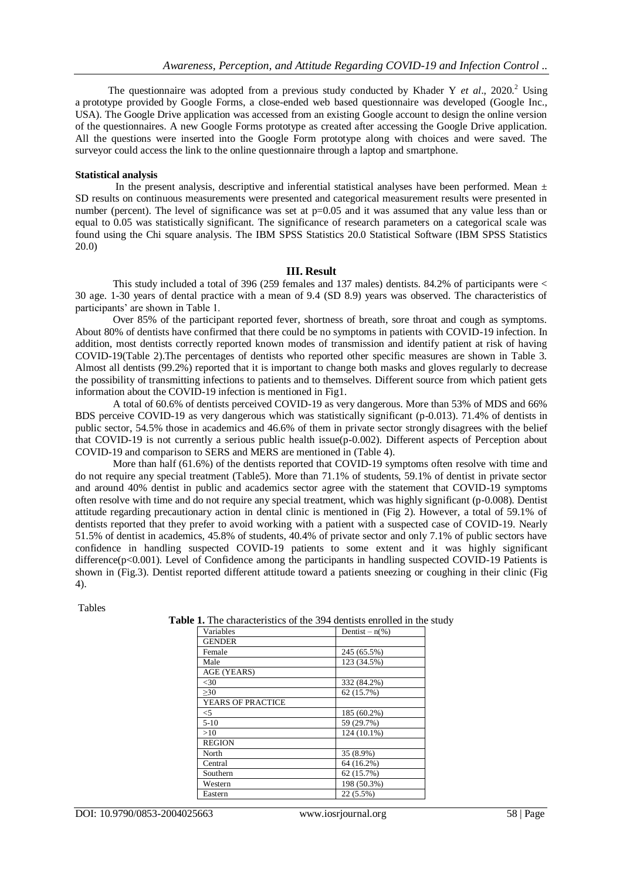The questionnaire was adopted from a previous study conducted by Khader Y *et al.*, 2020.<sup>2</sup> Using a prototype provided by Google Forms, a close-ended web based questionnaire was developed (Google Inc., USA). The Google Drive application was accessed from an existing Google account to design the online version of the questionnaires. A new Google Forms prototype as created after accessing the Google Drive application. All the questions were inserted into the Google Form prototype along with choices and were saved. The surveyor could access the link to the online questionnaire through a laptop and smartphone.

#### **Statistical analysis**

In the present analysis, descriptive and inferential statistical analyses have been performed. Mean  $\pm$ SD results on continuous measurements were presented and categorical measurement results were presented in number (percent). The level of significance was set at  $p=0.05$  and it was assumed that any value less than or equal to 0.05 was statistically significant. The significance of research parameters on a categorical scale was found using the Chi square analysis. The IBM SPSS Statistics 20.0 Statistical Software (IBM SPSS Statistics 20.0)

#### **III. Result**

This study included a total of 396 (259 females and 137 males) dentists. 84.2% of participants were < 30 age. 1-30 years of dental practice with a mean of 9.4 (SD 8.9) years was observed. The characteristics of participants' are shown in Table 1.

Over 85% of the participant reported fever, shortness of breath, sore throat and cough as symptoms. About 80% of dentists have confirmed that there could be no symptoms in patients with COVID-19 infection. In addition, most dentists correctly reported known modes of transmission and identify patient at risk of having COVID-19(Table 2).The percentages of dentists who reported other specific measures are shown in Table 3. Almost all dentists (99.2%) reported that it is important to change both masks and gloves regularly to decrease the possibility of transmitting infections to patients and to themselves. Different source from which patient gets information about the COVID-19 infection is mentioned in Fig1.

A total of 60.6% of dentists perceived COVID-19 as very dangerous. More than 53% of MDS and 66% BDS perceive COVID-19 as very dangerous which was statistically significant (p-0.013). 71.4% of dentists in public sector, 54.5% those in academics and 46.6% of them in private sector strongly disagrees with the belief that COVID-19 is not currently a serious public health issue(p-0.002). Different aspects of Perception about COVID-19 and comparison to SERS and MERS are mentioned in (Table 4).

More than half (61.6%) of the dentists reported that COVID-19 symptoms often resolve with time and do not require any special treatment (Table5). More than 71.1% of students, 59.1% of dentist in private sector and around 40% dentist in public and academics sector agree with the statement that COVID-19 symptoms often resolve with time and do not require any special treatment, which was highly significant (p-0.008). Dentist attitude regarding precautionary action in dental clinic is mentioned in (Fig 2). However, a total of 59.1% of dentists reported that they prefer to avoid working with a patient with a suspected case of COVID-19. Nearly 51.5% of dentist in academics, 45.8% of students, 40.4% of private sector and only 7.1% of public sectors have confidence in handling suspected COVID-19 patients to some extent and it was highly significant difference(p<0.001). Level of Confidence among the participants in handling suspected COVID-19 Patients is shown in (Fig.3). Dentist reported different attitude toward a patients sneezing or coughing in their clinic (Fig 4).

Tables

**Table 1.** The characteristics of the 394 dentists enrolled in the study

| Variables                | Dentist – $n(\%)$ |
|--------------------------|-------------------|
| <b>GENDER</b>            |                   |
| Female                   | 245 (65.5%)       |
| Male                     | 123 (34.5%)       |
| AGE (YEARS)              |                   |
| $<$ 30                   | 332 (84.2%)       |
| >30                      | 62 (15.7%)        |
| <b>YEARS OF PRACTICE</b> |                   |
| $<$ 5                    | 185 (60.2%)       |
| $5-10$                   | 59 (29.7%)        |
| >10                      | 124 (10.1%)       |
| <b>REGION</b>            |                   |
| North                    | 35 (8.9%)         |
| Central                  | 64 (16.2%)        |
| Southern                 | 62 (15.7%)        |
| Western                  | 198 (50.3%)       |
| Eastern                  | 22 (5.5%)         |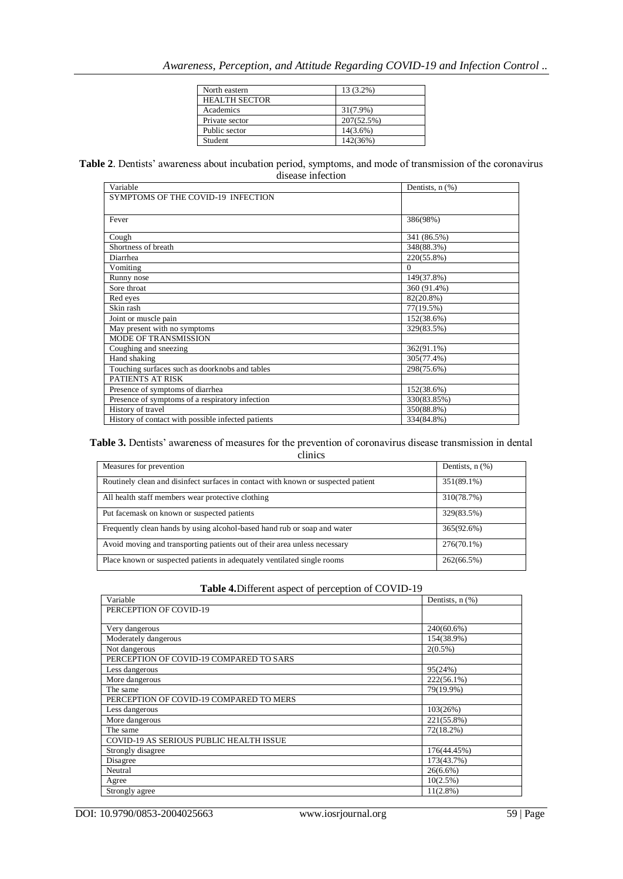| North eastern        | 13 (3.2%)   |
|----------------------|-------------|
| <b>HEALTH SECTOR</b> |             |
| Academics            | 31(7.9%)    |
| Private sector       | 207(52.5%)  |
| Public sector        | $14(3.6\%)$ |
| Student              | 142(36%)    |

**Table 2**. Dentists' awareness about incubation period, symptoms, and mode of transmission of the coronavirus disease infection

| Variable                                           | Dentists, $n$ $(\%)$ |
|----------------------------------------------------|----------------------|
| SYMPTOMS OF THE COVID-19 INFECTION                 |                      |
|                                                    |                      |
| Fever                                              | 386(98%)             |
|                                                    |                      |
| Cough                                              | 341 (86.5%)          |
| Shortness of breath                                | 348(88.3%)           |
| Diarrhea                                           | 220(55.8%)           |
| Vomiting                                           | $\Omega$             |
| Runny nose                                         | 149(37.8%)           |
| Sore throat                                        | 360 (91.4%)          |
| Red eyes                                           | 82(20.8%)            |
| Skin rash                                          | 77(19.5%)            |
| Joint or muscle pain                               | 152(38.6%)           |
| May present with no symptoms                       | 329(83.5%)           |
| <b>MODE OF TRANSMISSION</b>                        |                      |
| Coughing and sneezing                              | 362(91.1%)           |
| Hand shaking                                       | 305(77.4%)           |
| Touching surfaces such as doorknobs and tables     | 298(75.6%)           |
| PATIENTS AT RISK                                   |                      |
| Presence of symptoms of diarrhea                   | 152(38.6%)           |
| Presence of symptoms of a respiratory infection    | 330(83.85%)          |
| History of travel                                  | 350(88.8%)           |
| History of contact with possible infected patients | 334(84.8%)           |

**Table 3.** Dentists' awareness of measures for the prevention of coronavirus disease transmission in dental

| clinics                                                                           |                      |  |
|-----------------------------------------------------------------------------------|----------------------|--|
| Measures for prevention                                                           | Dentists, $n$ $(\%)$ |  |
| Routinely clean and disinfect surfaces in contact with known or suspected patient | 351(89.1%)           |  |
| All health staff members wear protective clothing                                 | 310(78.7%)           |  |
| Put facemask on known or suspected patients                                       | 329(83.5%)           |  |
| Frequently clean hands by using alcohol-based hand rub or soap and water          | 365(92.6%)           |  |
| Avoid moving and transporting patients out of their area unless necessary         | $276(70.1\%)$        |  |
| Place known or suspected patients in adequately ventilated single rooms           | 262(66.5%)           |  |

| Table 4. Different aspect of perception of COVID-19 |  |
|-----------------------------------------------------|--|
|                                                     |  |

| Variable                                | Dentists, $n$ $%$ |
|-----------------------------------------|-------------------|
| PERCEPTION OF COVID-19                  |                   |
|                                         |                   |
| Very dangerous                          | 240(60.6%)        |
| Moderately dangerous                    | 154(38.9%)        |
| Not dangerous                           | $2(0.5\%)$        |
| PERCEPTION OF COVID-19 COMPARED TO SARS |                   |
| Less dangerous                          | 95(24%)           |
| More dangerous                          | 222(56.1%)        |
| The same                                | 79(19.9%)         |
| PERCEPTION OF COVID-19 COMPARED TO MERS |                   |
| Less dangerous                          | 103(26%)          |
| More dangerous                          | 221(55.8%)        |
| The same                                | 72(18.2%)         |
| COVID-19 AS SERIOUS PUBLIC HEALTH ISSUE |                   |
| Strongly disagree                       | 176(44.45%)       |
| Disagree                                | 173(43.7%)        |
| Neutral                                 | $26(6.6\%)$       |
| Agree                                   | 10(2.5%)          |
| Strongly agree                          | $11(2.8\%)$       |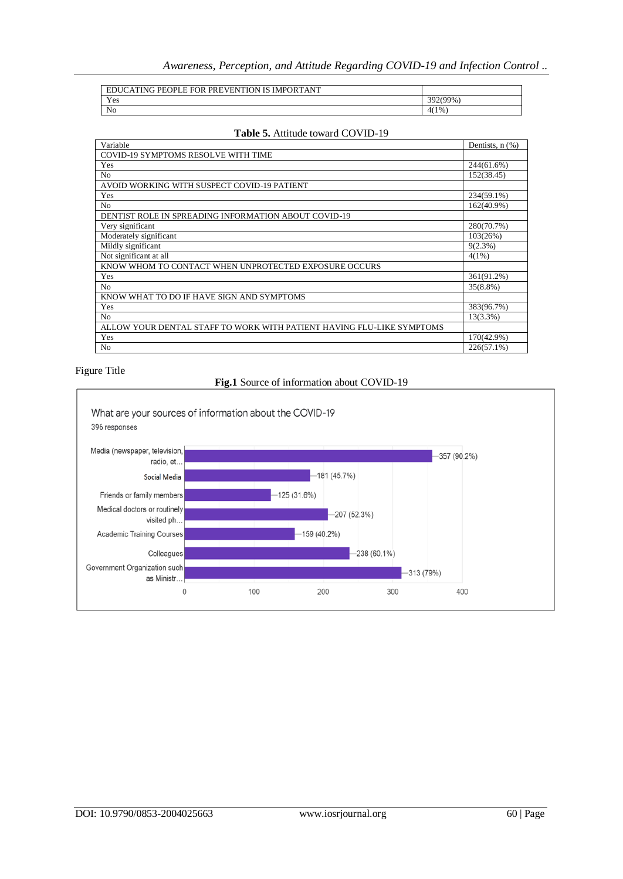| ATING PEOPLE FOR PREVENTION IS IMPORTANT<br>ED. |          |
|-------------------------------------------------|----------|
| Yes                                             | 392(99%) |
| N <sub>0</sub>                                  | 4(1%     |

| Variable                                                              | Dentists, $n$ $(\%)$ |
|-----------------------------------------------------------------------|----------------------|
| COVID-19 SYMPTOMS RESOLVE WITH TIME                                   |                      |
| Yes                                                                   | 244(61.6%)           |
| N <sub>0</sub>                                                        | 152(38.45)           |
| AVOID WORKING WITH SUSPECT COVID-19 PATIENT                           |                      |
| Yes                                                                   | 234(59.1%)           |
| N <sub>0</sub>                                                        | 162(40.9%)           |
| <b>DENTIST ROLE IN SPREADING INFORMATION ABOUT COVID-19</b>           |                      |
| Very significant                                                      | 280(70.7%)           |
| Moderately significant                                                | 103(26%)             |
| Mildly significant                                                    | $9(2.3\%)$           |
| Not significant at all                                                | $4(1\%)$             |
| KNOW WHOM TO CONTACT WHEN UNPROTECTED EXPOSURE OCCURS                 |                      |
| Yes                                                                   | 361(91.2%)           |
| N <sub>0</sub>                                                        | $35(8.8\%)$          |
| KNOW WHAT TO DO IF HAVE SIGN AND SYMPTOMS                             |                      |
| Yes                                                                   | 383(96.7%)           |
| N <sub>0</sub>                                                        | $13(3.3\%)$          |
| ALLOW YOUR DENTAL STAFF TO WORK WITH PATIENT HAVING FLU-LIKE SYMPTOMS |                      |
| Yes                                                                   | 170(42.9%)           |
| N <sub>0</sub>                                                        | $226(57.1\%)$        |
|                                                                       |                      |

## **Table 5.** Attitude toward COVID-19

## Figure Title

## **Fig.1** Source of information about COVID-19

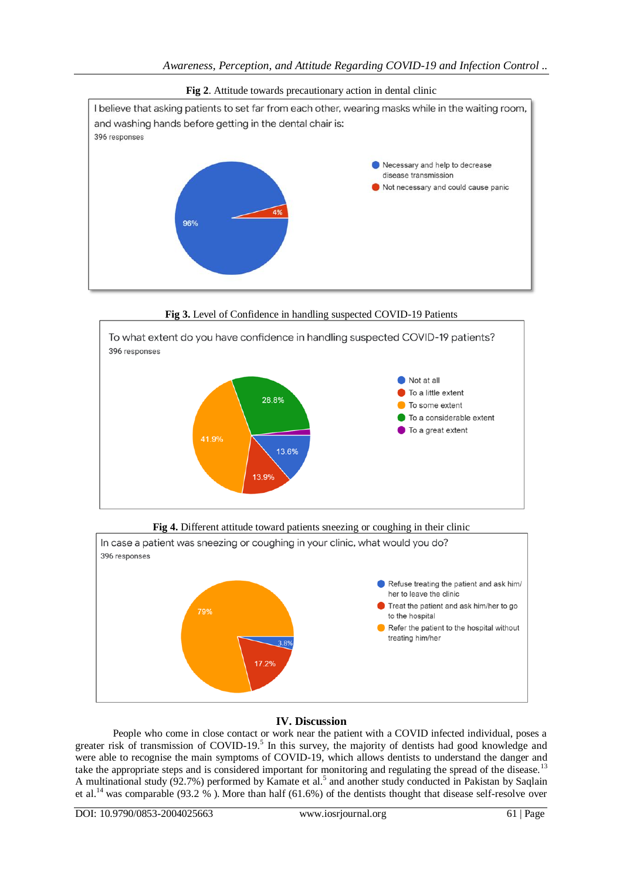

**Fig 2**. Attitude towards precautionary action in dental clinic

**Fig 3.** Level of Confidence in handling suspected COVID-19 Patients



**Fig 4.** Different attitude toward patients sneezing or coughing in their clinic



## **IV. Discussion**

People who come in close contact or work near the patient with a COVID infected individual, poses a greater risk of transmission of COVID-19.<sup>5</sup> In this survey, the majority of dentists had good knowledge and were able to recognise the main symptoms of COVID-19, which allows dentists to understand the danger and take the appropriate steps and is considered important for monitoring and regulating the spread of the disease.<sup>13</sup> A multinational study  $(92.7%)$  performed by Kamate et al.<sup>5</sup> and another study conducted in Pakistan by Saqlain et al.<sup>14</sup> was comparable (93.2 %). More than half (61.6%) of the dentists thought that disease self-resolve over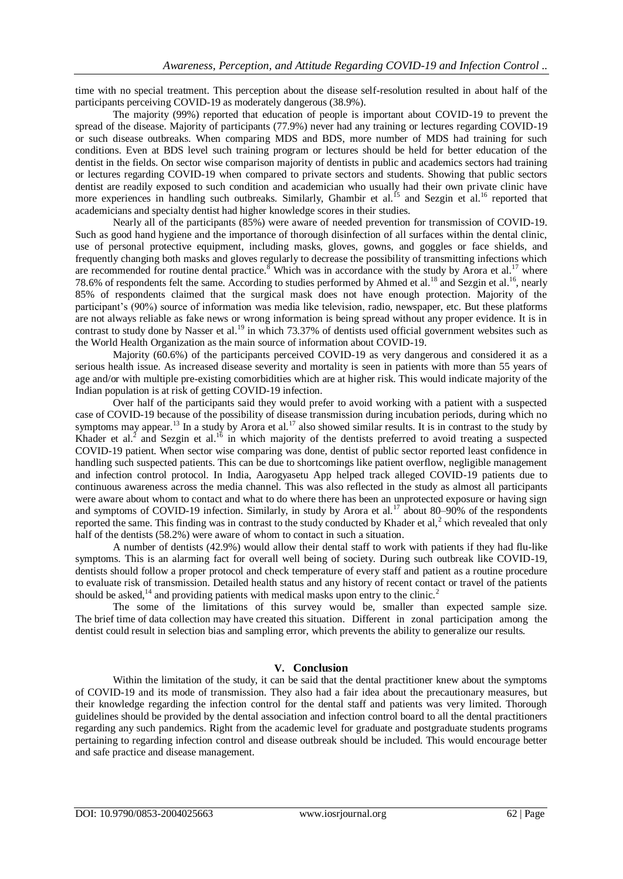time with no special treatment. This perception about the disease self-resolution resulted in about half of the participants perceiving COVID-19 as moderately dangerous (38.9%).

The majority (99%) reported that education of people is important about COVID-19 to prevent the spread of the disease. Majority of participants (77.9%) never had any training or lectures regarding COVID-19 or such disease outbreaks. When comparing MDS and BDS, more number of MDS had training for such conditions. Even at BDS level such training program or lectures should be held for better education of the dentist in the fields. On sector wise comparison majority of dentists in public and academics sectors had training or lectures regarding COVID-19 when compared to private sectors and students. Showing that public sectors dentist are readily exposed to such condition and academician who usually had their own private clinic have more experiences in handling such outbreaks. Similarly, Ghambir et al.<sup>15</sup> and Sezgin et al.<sup>16</sup> reported that academicians and specialty dentist had higher knowledge scores in their studies.

Nearly all of the participants (85%) were aware of needed prevention for transmission of COVID-19. Such as good hand hygiene and the importance of thorough disinfection of all surfaces within the dental clinic, use of personal protective equipment, including masks, gloves, gowns, and goggles or face shields, and frequently changing both masks and gloves regularly to decrease the possibility of transmitting infections which are recommended for routine dental practice.<sup>8</sup> Which was in accordance with the study by Arora et al.<sup>17</sup> where 78.6% of respondents felt the same. According to studies performed by Ahmed et al.<sup>18</sup> and Sezgin et al.<sup>16</sup>, nearly 85% of respondents claimed that the surgical mask does not have enough protection. Majority of the participant's (90%) source of information was media like television, radio, newspaper, etc. But these platforms are not always reliable as fake news or wrong information is being spread without any proper evidence. It is in contrast to study done by Nasser et al.<sup>19</sup> in which 73.37% of dentists used official government websites such as the World Health Organization as the main source of information about COVID-19.

Majority (60.6%) of the participants perceived COVID-19 as very dangerous and considered it as a serious health issue. As increased disease severity and mortality is seen in patients with more than 55 years of age and/or with multiple pre-existing comorbidities which are at higher risk. This would indicate majority of the Indian population is at risk of getting COVID-19 infection.

Over half of the participants said they would prefer to avoid working with a patient with a suspected case of COVID-19 because of the possibility of disease transmission during incubation periods, during which no symptoms may appear.<sup>13</sup> In a study by Arora et al.<sup>17</sup> also showed similar results. It is in contrast to the study by Khader et al.<sup>2</sup> and Sezgin et al.<sup>16</sup> in which majority of the dentists preferred to avoid treating a suspected COVID-19 patient. When sector wise comparing was done, dentist of public sector reported least confidence in handling such suspected patients. This can be due to shortcomings like patient overflow, negligible management and infection control protocol. In India, Aarogyasetu App helped track alleged COVID-19 patients due to continuous awareness across the media channel. This was also reflected in the study as almost all participants were aware about whom to contact and what to do where there has been an unprotected exposure or having sign and symptoms of COVID-19 infection. Similarly, in study by Arora et al.<sup>17</sup> about 80–90% of the respondents reported the same. This finding was in contrast to the study conducted by Khader et al,<sup>2</sup> which revealed that only half of the dentists (58.2%) were aware of whom to contact in such a situation.

A number of dentists (42.9%) would allow their dental staff to work with patients if they had flu-like symptoms. This is an alarming fact for overall well being of society. During such outbreak like COVID-19, dentists should follow a proper protocol and check temperature of every staff and patient as a routine procedure to evaluate risk of transmission. Detailed health status and any history of recent contact or travel of the patients should be asked, $^{14}$  and providing patients with medical masks upon entry to the clinic.<sup>2</sup>

The some of the limitations of this survey would be, smaller than expected sample size. The brief time of data collection may have created this situation. Different in zonal participation among the dentist could result in selection bias and sampling error, which prevents the ability to generalize our results.

### **V. Conclusion**

Within the limitation of the study, it can be said that the dental practitioner knew about the symptoms of COVID-19 and its mode of transmission. They also had a fair idea about the precautionary measures, but their knowledge regarding the infection control for the dental staff and patients was very limited. Thorough guidelines should be provided by the dental association and infection control board to all the dental practitioners regarding any such pandemics. Right from the academic level for graduate and postgraduate students programs pertaining to regarding infection control and disease outbreak should be included. This would encourage better and safe practice and disease management.